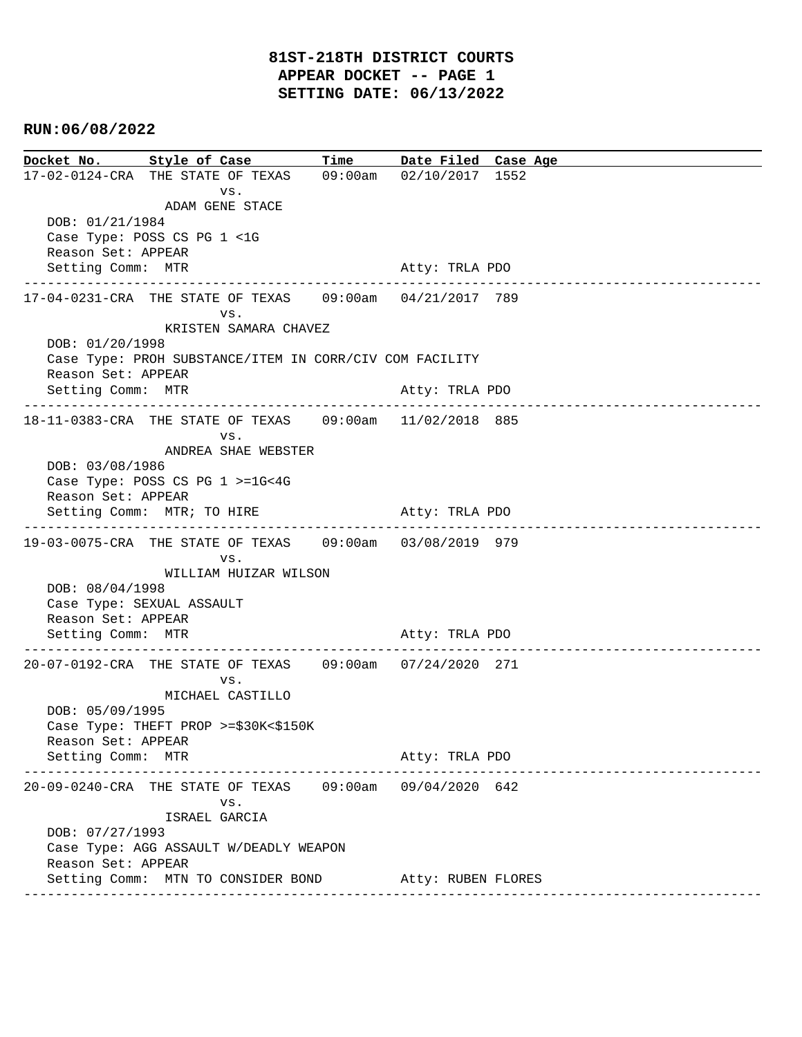## **RUN:06/08/2022**

| Docket No. Style of Case                                                   |                                                                            |                       | Time Date Filed Case Age |  |                    |
|----------------------------------------------------------------------------|----------------------------------------------------------------------------|-----------------------|--------------------------|--|--------------------|
|                                                                            | 17-02-0124-CRA THE STATE OF TEXAS 09:00am 02/10/2017 1552                  |                       |                          |  |                    |
| DOB: 01/21/1984                                                            | VS.<br>ADAM GENE STACE                                                     |                       |                          |  |                    |
|                                                                            | Case Type: POSS CS PG 1 <1G                                                |                       |                          |  |                    |
| Reason Set: APPEAR                                                         |                                                                            |                       |                          |  |                    |
| Setting Comm: MTR                                                          |                                                                            |                       | Atty: TRLA PDO           |  |                    |
|                                                                            | 17-04-0231-CRA THE STATE OF TEXAS 09:00am 04/21/2017 789<br>VS.            |                       |                          |  |                    |
|                                                                            | KRISTEN SAMARA CHAVEZ                                                      |                       |                          |  |                    |
| DOB: 01/20/1998<br>Case Type: PROH SUBSTANCE/ITEM IN CORR/CIV COM FACILITY |                                                                            |                       |                          |  |                    |
| Reason Set: APPEAR                                                         |                                                                            |                       |                          |  |                    |
| Setting Comm: MTR                                                          |                                                                            |                       | Atty: TRLA PDO           |  |                    |
|                                                                            |                                                                            |                       |                          |  |                    |
|                                                                            | 18-11-0383-CRA THE STATE OF TEXAS   09:00am   11/02/2018   885             |                       |                          |  |                    |
|                                                                            | VS.<br>ANDREA SHAE WEBSTER                                                 |                       |                          |  |                    |
| DOB: 03/08/1986                                                            |                                                                            |                       |                          |  |                    |
|                                                                            | Case Type: POSS CS PG 1 >=1G<4G                                            |                       |                          |  |                    |
| Reason Set: APPEAR                                                         |                                                                            |                       |                          |  |                    |
|                                                                            | Setting Comm: MTR; TO HIRE                                                 |                       | Atty: TRLA PDO           |  |                    |
|                                                                            | 19-03-0075-CRA THE STATE OF TEXAS 09:00am 03/08/2019 979                   |                       |                          |  |                    |
|                                                                            | VS.                                                                        |                       |                          |  |                    |
| DOB: 08/04/1998                                                            | WILLIAM HUIZAR WILSON                                                      |                       |                          |  |                    |
|                                                                            | Case Type: SEXUAL ASSAULT                                                  |                       |                          |  |                    |
| Reason Set: APPEAR                                                         |                                                                            |                       |                          |  |                    |
| Setting Comm: MTR                                                          |                                                                            |                       | Atty: TRLA PDO           |  |                    |
|                                                                            | 20-07-0192-CRA THE STATE OF TEXAS 09:00am 07/24/2020 271                   |                       |                          |  |                    |
|                                                                            | VS.                                                                        |                       |                          |  |                    |
|                                                                            | MICHAEL CASTILLO                                                           |                       |                          |  |                    |
| DOB: 05/09/1995                                                            |                                                                            |                       |                          |  |                    |
|                                                                            | Case Type: THEFT PROP $>= $30K < $150K$                                    |                       |                          |  |                    |
| Reason Set: APPEAR<br>Setting Comm: MTR                                    |                                                                            |                       | Atty: TRLA PDO           |  |                    |
|                                                                            |                                                                            |                       |                          |  | ------------------ |
|                                                                            | 20-09-0240-CRA THE STATE OF TEXAS 09:00am 09/04/2020 642                   |                       |                          |  |                    |
|                                                                            | VS.                                                                        |                       |                          |  |                    |
| DOB: 07/27/1993                                                            | ISRAEL GARCIA                                                              |                       |                          |  |                    |
|                                                                            | Case Type: AGG ASSAULT W/DEADLY WEAPON                                     |                       |                          |  |                    |
| Reason Set: APPEAR                                                         |                                                                            |                       |                          |  |                    |
|                                                                            | Setting Comm: MTN TO CONSIDER BOND Atty: RUBEN FLORES<br>----------------- | _____________________ |                          |  |                    |
|                                                                            |                                                                            |                       |                          |  |                    |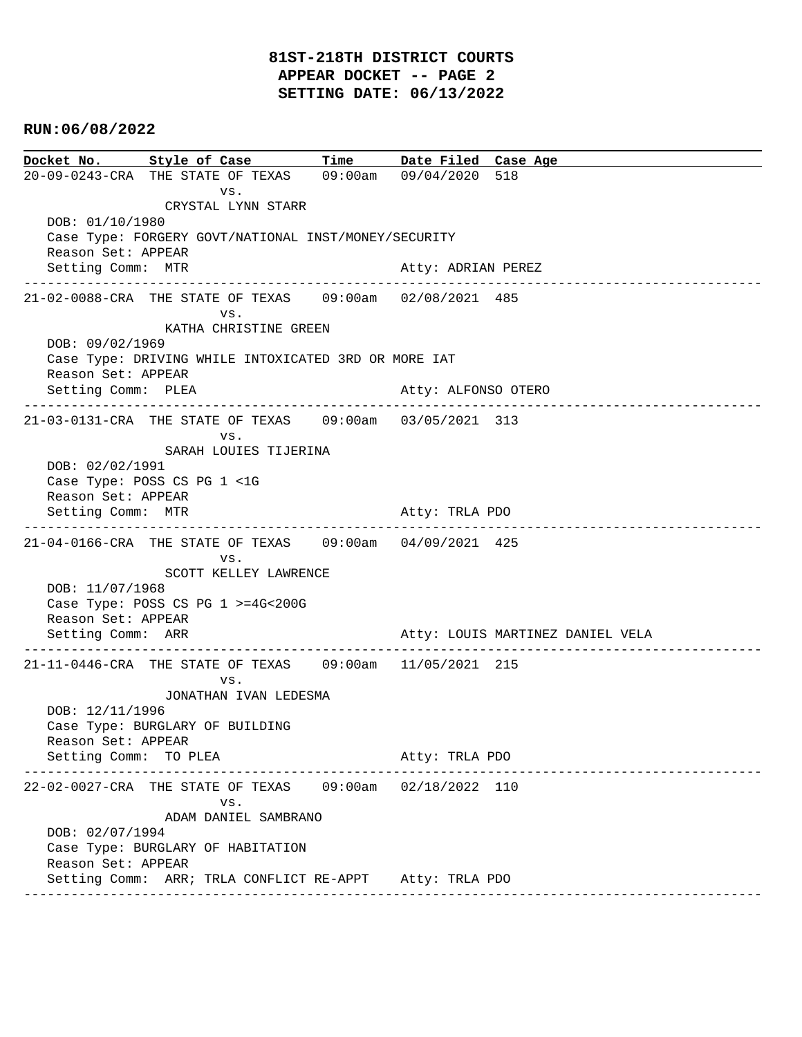## **81ST-218TH DISTRICT COURTS APPEAR DOCKET -- PAGE 2 SETTING DATE: 06/13/2022**

## **RUN:06/08/2022**

**Docket No. Style of Case Time Date Filed Case Age**  20-09-0243-CRA THE STATE OF TEXAS 09:00am 09/04/2020 518 vs. CRYSTAL LYNN STARR DOB: 01/10/1980 Case Type: FORGERY GOVT/NATIONAL INST/MONEY/SECURITY Reason Set: APPEAR Setting Comm: MTR Atty: ADRIAN PEREZ ---------------------------------------------------------------------------------------------- 21-02-0088-CRA THE STATE OF TEXAS 09:00am 02/08/2021 485 vs. KATHA CHRISTINE GREEN DOB: 09/02/1969 Case Type: DRIVING WHILE INTOXICATED 3RD OR MORE IAT Reason Set: APPEAR Setting Comm: PLEA Atty: ALFONSO OTERO ---------------------------------------------------------------------------------------------- 21-03-0131-CRA THE STATE OF TEXAS 09:00am 03/05/2021 313 vs. SARAH LOUIES TIJERINA DOB: 02/02/1991 Case Type: POSS CS PG 1 <1G Reason Set: APPEAR Setting Comm: MTR Atty: TRLA PDO ---------------------------------------------------------------------------------------------- 21-04-0166-CRA THE STATE OF TEXAS 09:00am 04/09/2021 425 vs. SCOTT KELLEY LAWRENCE DOB: 11/07/1968 Case Type: POSS CS PG 1 >=4G<200G Reason Set: APPEAR Setting Comm: ARR Atty: LOUIS MARTINEZ DANIEL VELA ---------------------------------------------------------------------------------------------- 21-11-0446-CRA THE STATE OF TEXAS 09:00am 11/05/2021 215 vs. JONATHAN IVAN LEDESMA DOB: 12/11/1996 Case Type: BURGLARY OF BUILDING Reason Set: APPEAR Setting Comm: TO PLEA Atty: TRLA PDO ---------------------------------------------------------------------------------------------- 22-02-0027-CRA THE STATE OF TEXAS 09:00am 02/18/2022 110 vs. ADAM DANIEL SAMBRANO DOB: 02/07/1994 Case Type: BURGLARY OF HABITATION Reason Set: APPEAR Setting Comm: ARR; TRLA CONFLICT RE-APPT Atty: TRLA PDO ----------------------------------------------------------------------------------------------